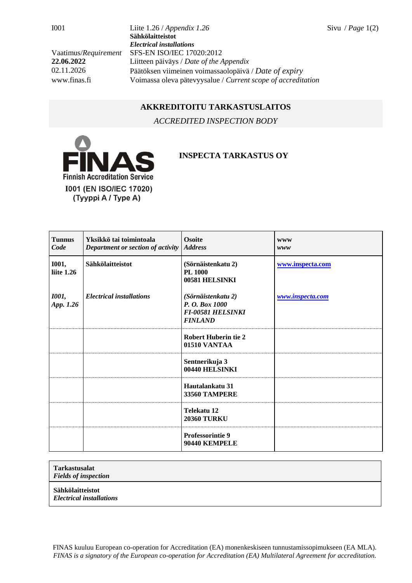I001 Liite 1.26 / *Appendix 1.26* Sivu / *Page* 1(2) **Sähkölaitteistot** *Electrical installations* Vaatimus/*Requirement* SFS-EN ISO/IEC 17020:2012 **22.06.2022** Liitteen päiväys / *Date of the Appendix* 02.11.2026 Päätöksen viimeinen voimassaolopäivä / *Date of expiry* www.finas.fi Voimassa oleva pätevyysalue / *Current scope of accreditation*

## **AKKREDITOITU TARKASTUSLAITOS**

## *ACCREDITED INSPECTION BODY*



# **INSPECTA TARKASTUS OY**

| <b>Tunnus</b><br>Code      | Yksikkö tai toimintoala<br>Department or section of activity | <b>Osoite</b><br><b>Address</b>                                                    | <b>WWW</b><br>www |
|----------------------------|--------------------------------------------------------------|------------------------------------------------------------------------------------|-------------------|
| <b>I001,</b><br>liite 1.26 | Sähkölaitteistot                                             | (Sörnäistenkatu 2)<br><b>PL 1000</b><br>00581 HELSINKI                             | www.inspecta.com  |
| 1001,<br>App. 1.26         | <b>Electrical installations</b>                              | (Sörnäistenkatu 2)<br>P. O. Box 1000<br><b>FI-00581 HELSINKI</b><br><b>FINLAND</b> | www.inspecta.com  |
|                            |                                                              | <b>Robert Huberin tie 2</b><br>01510 VANTAA                                        |                   |
|                            |                                                              | Sentnerikuja 3<br>00440 HELSINKI                                                   |                   |
|                            |                                                              | Hautalankatu 31<br><b>33560 TAMPERE</b>                                            |                   |
|                            |                                                              | Telekatu 12<br><b>20360 TURKU</b>                                                  |                   |
|                            |                                                              | <b>Professorintie 9</b><br>90440 KEMPELE                                           |                   |

### **Tarkastusalat**

*Fields of inspection*

#### **Sähkölaitteistot**

*Electrical installations*